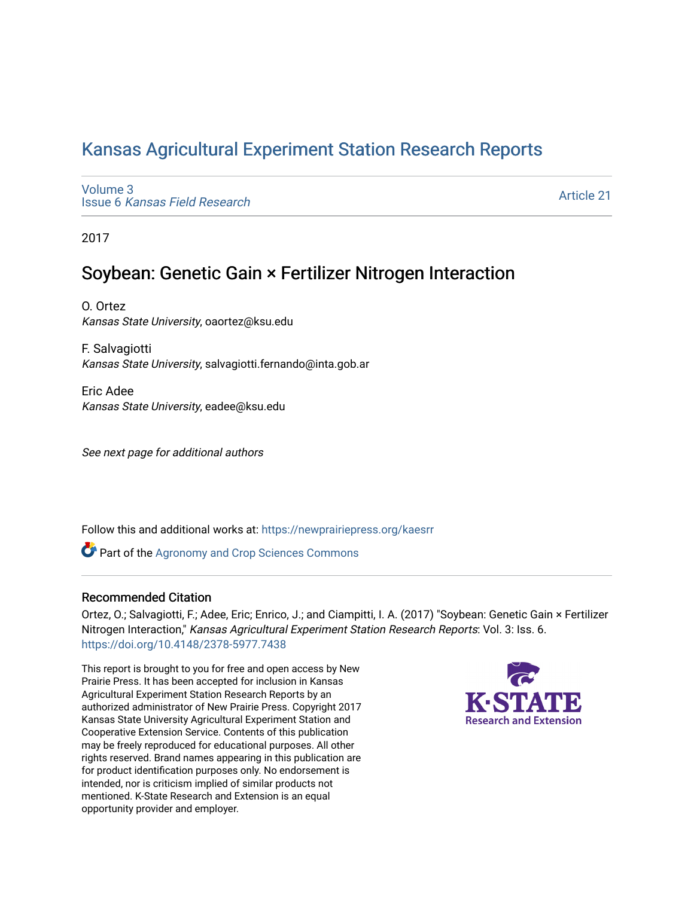# [Kansas Agricultural Experiment Station Research Reports](https://newprairiepress.org/kaesrr)

[Volume 3](https://newprairiepress.org/kaesrr/vol3) Issue 6 [Kansas Field Research](https://newprairiepress.org/kaesrr/vol3/iss6) 

[Article 21](https://newprairiepress.org/kaesrr/vol3/iss6/21) 

2017

# Soybean: Genetic Gain × Fertilizer Nitrogen Interaction

O. Ortez Kansas State University, oaortez@ksu.edu

F. Salvagiotti Kansas State University, salvagiotti.fernando@inta.gob.ar

Eric Adee Kansas State University, eadee@ksu.edu

See next page for additional authors

Follow this and additional works at: [https://newprairiepress.org/kaesrr](https://newprairiepress.org/kaesrr?utm_source=newprairiepress.org%2Fkaesrr%2Fvol3%2Fiss6%2F21&utm_medium=PDF&utm_campaign=PDFCoverPages) 

**Part of the Agronomy and Crop Sciences Commons** 

#### Recommended Citation

Ortez, O.; Salvagiotti, F.; Adee, Eric; Enrico, J.; and Ciampitti, I. A. (2017) "Soybean: Genetic Gain × Fertilizer Nitrogen Interaction," Kansas Agricultural Experiment Station Research Reports: Vol. 3: Iss. 6. <https://doi.org/10.4148/2378-5977.7438>

This report is brought to you for free and open access by New Prairie Press. It has been accepted for inclusion in Kansas Agricultural Experiment Station Research Reports by an authorized administrator of New Prairie Press. Copyright 2017 Kansas State University Agricultural Experiment Station and Cooperative Extension Service. Contents of this publication may be freely reproduced for educational purposes. All other rights reserved. Brand names appearing in this publication are for product identification purposes only. No endorsement is intended, nor is criticism implied of similar products not mentioned. K-State Research and Extension is an equal opportunity provider and employer.

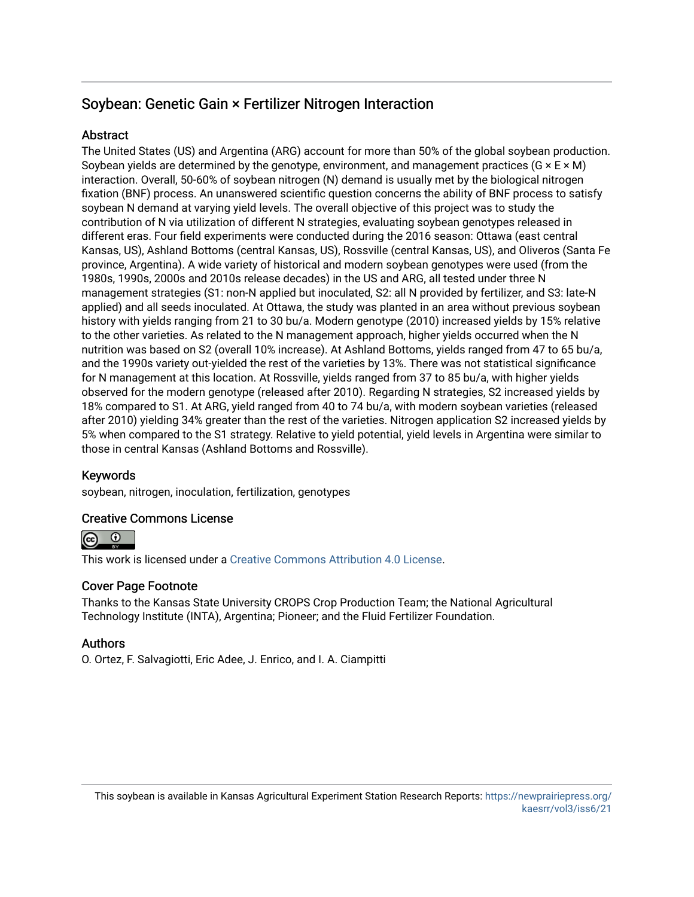# Soybean: Genetic Gain × Fertilizer Nitrogen Interaction

#### **Abstract**

The United States (US) and Argentina (ARG) account for more than 50% of the global soybean production. Soybean yields are determined by the genotype, environment, and management practices ( $G \times E \times M$ ) interaction. Overall, 50-60% of soybean nitrogen (N) demand is usually met by the biological nitrogen fixation (BNF) process. An unanswered scientific question concerns the ability of BNF process to satisfy soybean N demand at varying yield levels. The overall objective of this project was to study the contribution of N via utilization of different N strategies, evaluating soybean genotypes released in different eras. Four field experiments were conducted during the 2016 season: Ottawa (east central Kansas, US), Ashland Bottoms (central Kansas, US), Rossville (central Kansas, US), and Oliveros (Santa Fe province, Argentina). A wide variety of historical and modern soybean genotypes were used (from the 1980s, 1990s, 2000s and 2010s release decades) in the US and ARG, all tested under three N management strategies (S1: non-N applied but inoculated, S2: all N provided by fertilizer, and S3: late-N applied) and all seeds inoculated. At Ottawa, the study was planted in an area without previous soybean history with yields ranging from 21 to 30 bu/a. Modern genotype (2010) increased yields by 15% relative to the other varieties. As related to the N management approach, higher yields occurred when the N nutrition was based on S2 (overall 10% increase). At Ashland Bottoms, yields ranged from 47 to 65 bu/a, and the 1990s variety out-yielded the rest of the varieties by 13%. There was not statistical significance for N management at this location. At Rossville, yields ranged from 37 to 85 bu/a, with higher yields observed for the modern genotype (released after 2010). Regarding N strategies, S2 increased yields by 18% compared to S1. At ARG, yield ranged from 40 to 74 bu/a, with modern soybean varieties (released after 2010) yielding 34% greater than the rest of the varieties. Nitrogen application S2 increased yields by 5% when compared to the S1 strategy. Relative to yield potential, yield levels in Argentina were similar to those in central Kansas (Ashland Bottoms and Rossville).

#### Keywords

soybean, nitrogen, inoculation, fertilization, genotypes

#### Creative Commons License



This work is licensed under a [Creative Commons Attribution 4.0 License](https://creativecommons.org/licenses/by/4.0/).

#### Cover Page Footnote

Thanks to the Kansas State University CROPS Crop Production Team; the National Agricultural Technology Institute (INTA), Argentina; Pioneer; and the Fluid Fertilizer Foundation.

#### Authors

O. Ortez, F. Salvagiotti, Eric Adee, J. Enrico, and I. A. Ciampitti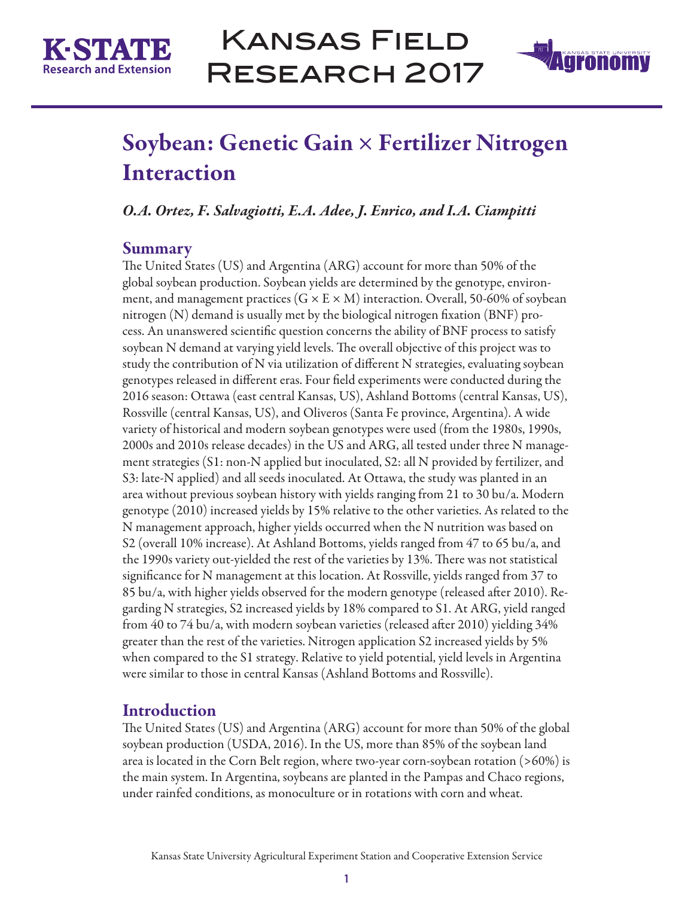



# Soybean: Genetic Gain × Fertilizer Nitrogen Interaction

*O.A. Ortez, F. Salvagiotti, E.A. Adee, J. Enrico, and I.A. Ciampitti*

## **Summary**

The United States (US) and Argentina (ARG) account for more than 50% of the global soybean production. Soybean yields are determined by the genotype, environment, and management practices  $(G \times E \times M)$  interaction. Overall, 50-60% of soybean nitrogen (N) demand is usually met by the biological nitrogen fixation (BNF) process. An unanswered scientific question concerns the ability of BNF process to satisfy soybean N demand at varying yield levels. The overall objective of this project was to study the contribution of N via utilization of different N strategies, evaluating soybean genotypes released in different eras. Four field experiments were conducted during the 2016 season: Ottawa (east central Kansas, US), Ashland Bottoms (central Kansas, US), Rossville (central Kansas, US), and Oliveros (Santa Fe province, Argentina). A wide variety of historical and modern soybean genotypes were used (from the 1980s, 1990s, 2000s and 2010s release decades) in the US and ARG, all tested under three N management strategies (S1: non-N applied but inoculated, S2: all N provided by fertilizer, and S3: late-N applied) and all seeds inoculated. At Ottawa, the study was planted in an area without previous soybean history with yields ranging from 21 to 30 bu/a. Modern genotype (2010) increased yields by 15% relative to the other varieties. As related to the N management approach, higher yields occurred when the N nutrition was based on S2 (overall 10% increase). At Ashland Bottoms, yields ranged from 47 to 65 bu/a, and the 1990s variety out-yielded the rest of the varieties by 13%. There was not statistical significance for N management at this location. At Rossville, yields ranged from 37 to 85 bu/a, with higher yields observed for the modern genotype (released after 2010). Regarding N strategies, S2 increased yields by 18% compared to S1. At ARG, yield ranged from 40 to 74 bu/a, with modern soybean varieties (released after 2010) yielding 34% greater than the rest of the varieties. Nitrogen application S2 increased yields by 5% when compared to the S1 strategy. Relative to yield potential, yield levels in Argentina were similar to those in central Kansas (Ashland Bottoms and Rossville).

## **Introduction**

The United States (US) and Argentina (ARG) account for more than 50% of the global soybean production (USDA, 2016). In the US, more than 85% of the soybean land area is located in the Corn Belt region, where two-year corn-soybean rotation (>60%) is the main system. In Argentina, soybeans are planted in the Pampas and Chaco regions, under rainfed conditions, as monoculture or in rotations with corn and wheat.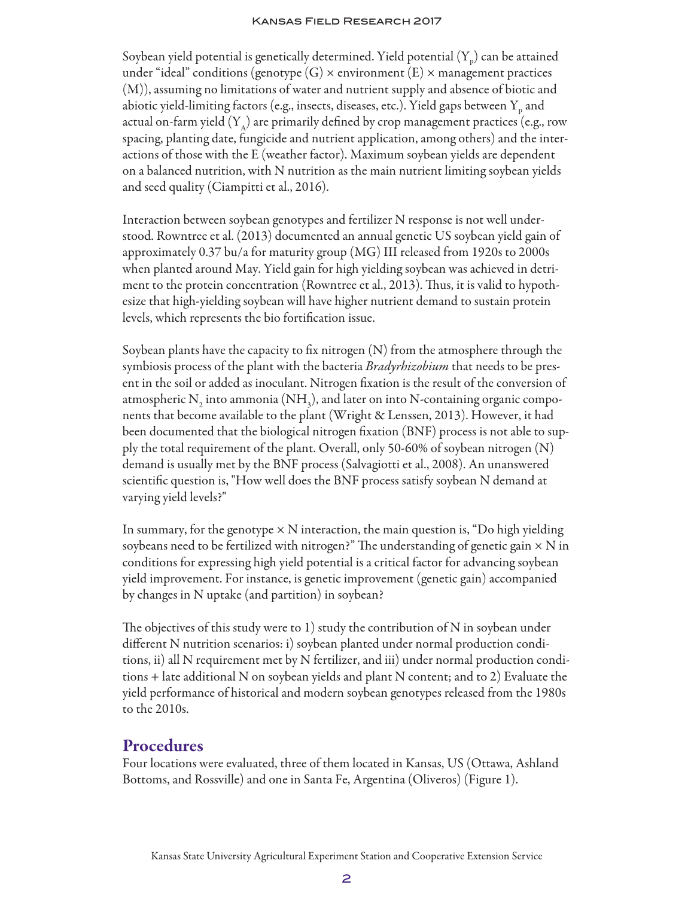Soybean yield potential is genetically determined. Yield potential  $({\rm Y_p})$  can be attained under "ideal" conditions (genotype  $(G) \times$  environment  $(E) \times$  management practices (M)), assuming no limitations of water and nutrient supply and absence of biotic and abiotic yield-limiting factors (e.g., insects, diseases, etc.). Yield gaps between  ${\rm Y_p}$  and actual on-farm yield  $(Y_A)$  are primarily defined by crop management practices (e.g., row spacing, planting date, fungicide and nutrient application, among others) and the interactions of those with the E (weather factor). Maximum soybean yields are dependent on a balanced nutrition, with N nutrition as the main nutrient limiting soybean yields and seed quality (Ciampitti et al., 2016).

Interaction between soybean genotypes and fertilizer N response is not well understood. Rowntree et al. (2013) documented an annual genetic US soybean yield gain of approximately 0.37 bu/a for maturity group (MG) III released from 1920s to 2000s when planted around May. Yield gain for high yielding soybean was achieved in detriment to the protein concentration (Rowntree et al., 2013). Thus, it is valid to hypothesize that high-yielding soybean will have higher nutrient demand to sustain protein levels, which represents the bio fortification issue.

Soybean plants have the capacity to fix nitrogen (N) from the atmosphere through the symbiosis process of the plant with the bacteria *Bradyrhizobium* that needs to be present in the soil or added as inoculant. Nitrogen fixation is the result of the conversion of atmospheric  $\mathrm{N}_2$  into ammonia (NH<sub>3</sub>), and later on into N-containing organic components that become available to the plant (Wright & Lenssen, 2013). However, it had been documented that the biological nitrogen fixation (BNF) process is not able to supply the total requirement of the plant. Overall, only 50-60% of soybean nitrogen (N) demand is usually met by the BNF process (Salvagiotti et al., 2008). An unanswered scientific question is, "How well does the BNF process satisfy soybean N demand at varying yield levels?"

In summary, for the genotype  $\times N$  interaction, the main question is, "Do high yielding soybeans need to be fertilized with nitrogen?" The understanding of genetic gain  $\times$  N in conditions for expressing high yield potential is a critical factor for advancing soybean yield improvement. For instance, is genetic improvement (genetic gain) accompanied by changes in N uptake (and partition) in soybean?

The objectives of this study were to  $1$ ) study the contribution of N in soybean under different N nutrition scenarios: i) soybean planted under normal production conditions, ii) all N requirement met by N fertilizer, and iii) under normal production conditions + late additional N on soybean yields and plant N content; and to 2) Evaluate the yield performance of historical and modern soybean genotypes released from the 1980s to the 2010s.

## **Procedures**

Four locations were evaluated, three of them located in Kansas, US (Ottawa, Ashland Bottoms, and Rossville) and one in Santa Fe, Argentina (Oliveros) (Figure 1).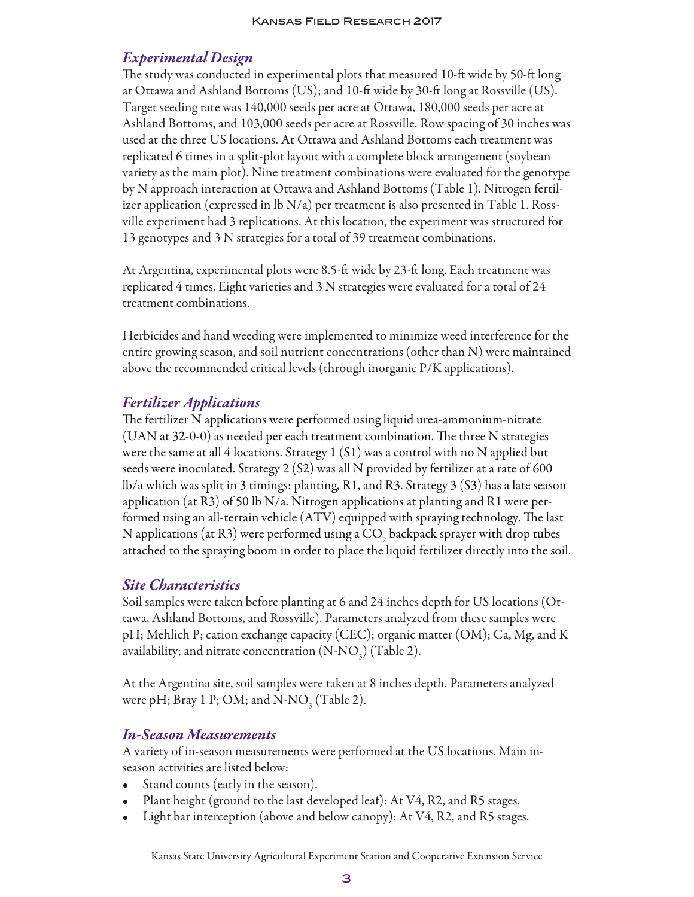#### *Experimental Design*

The study was conducted in experimental plots that measured 10-ft wide by 50-ft long at Ottawa and Ashland Bottoms (US); and 10-ft wide by 30-ft long at Rossville (US). Target seeding rate was 140,000 seeds per acre at Ottawa, 180,000 seeds per acre at Ashland Bottoms, and 103,000 seeds per acre at Rossville. Row spacing of 30 inches was used at the three US locations. At Ottawa and Ashland Bottoms each treatment was replicated 6 times in a split-plot layout with a complete block arrangement (soybean variety as the main plot). Nine treatment combinations were evaluated for the genotype by N approach interaction at Ottawa and Ashland Bottoms (Table 1). Nitrogen fertilizer application (expressed in  $\lfloor b\ N/a \rfloor$  per treatment is also presented in Table 1. Rossville experiment had 3 replications. At this location, the experiment was structured for 13 genotypes and 3 N strategies for a total of 39 treatment combinations.

At Argentina, experimental plots were 8.5-ft wide by 23-ft long. Each treatment was replicated 4 times. Eight varieties and 3 N strategies were evaluated for a total of 24 treatment combinations.

Herbicides and hand weeding were implemented to minimize weed interference for the entire growing season, and soil nutrient concentrations (other than N) were maintained above the recommended critical levels (through inorganic P/K applications).

## *Fertilizer Applications*

The fertilizer N applications were performed using liquid urea-ammonium-nitrate (UAN at 32-0-0) as needed per each treatment combination. The three N strategies were the same at all 4 locations. Strategy 1 (S1) was a control with no N applied but seeds were inoculated. Strategy 2 (S2) was all N provided by fertilizer at a rate of 600 lb/a which was split in 3 timings: planting, R1, and R3. Strategy 3 (S3) has a late season application (at R3) of 50 lb N/a. Nitrogen applications at planting and R1 were performed using an all-terrain vehicle (ATV) equipped with spraying technology. The last N applications (at R3) were performed using a CO<sub>2</sub> backpack sprayer with drop tubes attached to the spraying boom in order to place the liquid fertilizer directly into the soil.

#### *Site Characteristics*

Soil samples were taken before planting at 6 and 24 inches depth for US locations (Ottawa, Ashland Bottoms, and Rossville). Parameters analyzed from these samples were pH; Mehlich P; cation exchange capacity (CEC); organic matter (OM); Ca, Mg, and K availability; and nitrate concentration  $(N\text{-}N\text{O}_3)$  (Table 2).

At the Argentina site, soil samples were taken at 8 inches depth. Parameters analyzed were pH; Bray 1 P; OM; and N-NO<sub>3</sub> (Table 2).

#### *In-Season Measurements*

A variety of in-season measurements were performed at the US locations. Main inseason activities are listed below:

- Stand counts (early in the season).
- Plant height (ground to the last developed leaf): At V4, R2, and R5 stages.
- Light bar interception (above and below canopy): At V4, R2, and R5 stages.

Kansas State University Agricultural Experiment Station and Cooperative Extension Service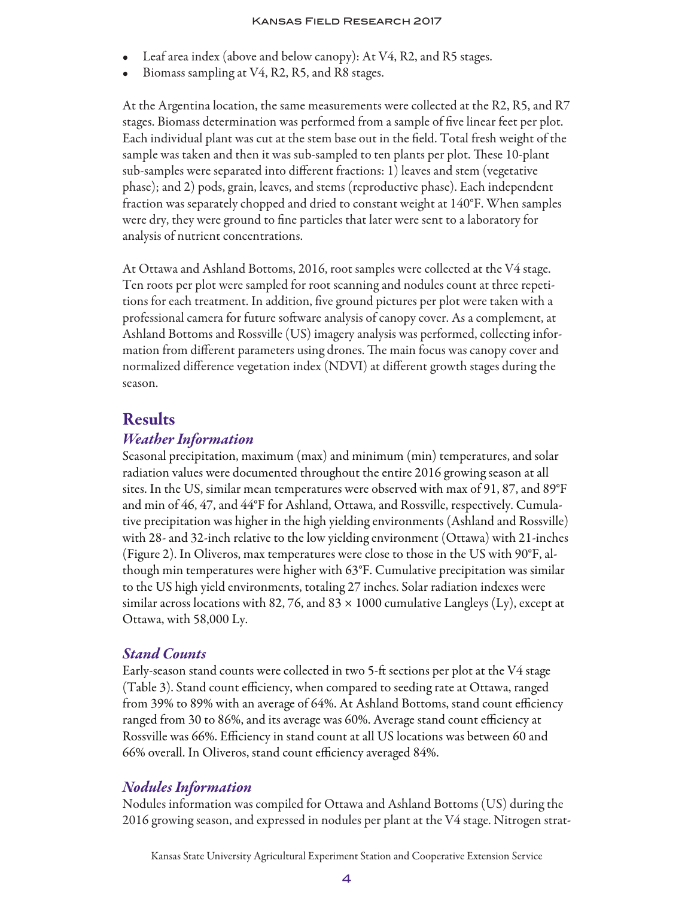- Leaf area index (above and below canopy): At V4, R2, and R5 stages.
- Biomass sampling at V4, R2, R5, and R8 stages.

At the Argentina location, the same measurements were collected at the R2, R5, and R7 stages. Biomass determination was performed from a sample of five linear feet per plot. Each individual plant was cut at the stem base out in the field. Total fresh weight of the sample was taken and then it was sub-sampled to ten plants per plot. These 10-plant sub-samples were separated into different fractions: 1) leaves and stem (vegetative phase); and 2) pods, grain, leaves, and stems (reproductive phase). Each independent fraction was separately chopped and dried to constant weight at 140°F. When samples were dry, they were ground to fine particles that later were sent to a laboratory for analysis of nutrient concentrations.

At Ottawa and Ashland Bottoms, 2016, root samples were collected at the V4 stage. Ten roots per plot were sampled for root scanning and nodules count at three repetitions for each treatment. In addition, five ground pictures per plot were taken with a professional camera for future software analysis of canopy cover. As a complement, at Ashland Bottoms and Rossville (US) imagery analysis was performed, collecting information from different parameters using drones. The main focus was canopy cover and normalized difference vegetation index (NDVI) at different growth stages during the season.

#### Results

#### *Weather Information*

Seasonal precipitation, maximum (max) and minimum (min) temperatures, and solar radiation values were documented throughout the entire 2016 growing season at all sites. In the US, similar mean temperatures were observed with max of 91, 87, and 89°F and min of 46, 47, and 44°F for Ashland, Ottawa, and Rossville, respectively. Cumulative precipitation was higher in the high yielding environments (Ashland and Rossville) with 28- and 32-inch relative to the low yielding environment (Ottawa) with 21-inches (Figure 2). In Oliveros, max temperatures were close to those in the US with 90°F, although min temperatures were higher with 63°F. Cumulative precipitation was similar to the US high yield environments, totaling 27 inches. Solar radiation indexes were similar across locations with 82, 76, and 83  $\times$  1000 cumulative Langleys (Ly), except at Ottawa, with 58,000 Ly.

#### *Stand Counts*

Early-season stand counts were collected in two 5-ft sections per plot at the V4 stage (Table 3). Stand count efficiency, when compared to seeding rate at Ottawa, ranged from 39% to 89% with an average of 64%. At Ashland Bottoms, stand count efficiency ranged from 30 to 86%, and its average was 60%. Average stand count efficiency at Rossville was 66%. Efficiency in stand count at all US locations was between 60 and 66% overall. In Oliveros, stand count efficiency averaged 84%.

#### *Nodules Information*

Nodules information was compiled for Ottawa and Ashland Bottoms (US) during the 2016 growing season, and expressed in nodules per plant at the V4 stage. Nitrogen strat-

Kansas State University Agricultural Experiment Station and Cooperative Extension Service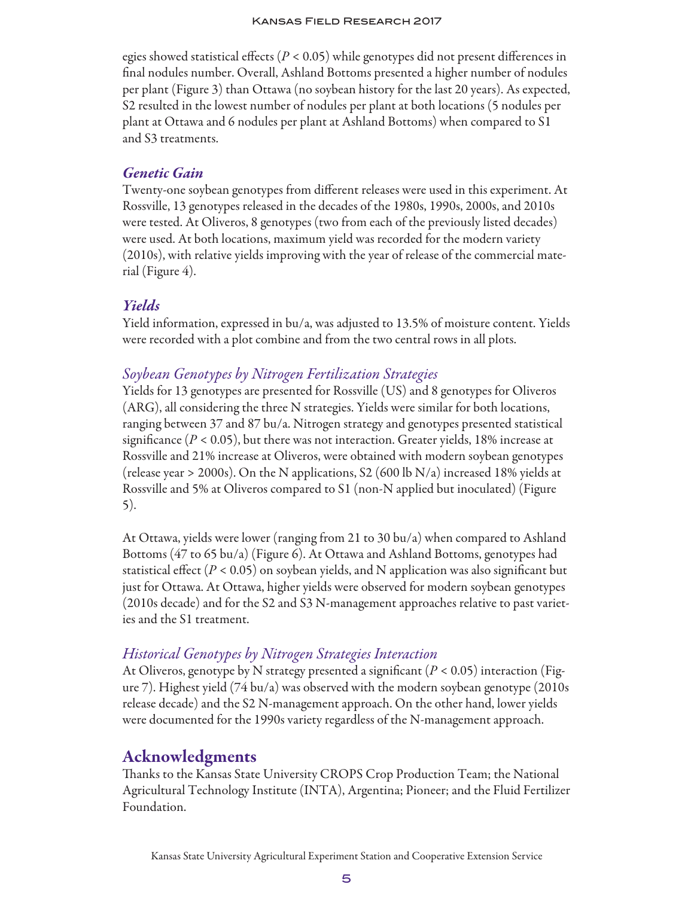egies showed statistical effects (*P <* 0.05) while genotypes did not present differences in final nodules number. Overall, Ashland Bottoms presented a higher number of nodules per plant (Figure 3) than Ottawa (no soybean history for the last 20 years). As expected, S2 resulted in the lowest number of nodules per plant at both locations (5 nodules per plant at Ottawa and 6 nodules per plant at Ashland Bottoms) when compared to S1 and S3 treatments.

#### *Genetic Gain*

Twenty-one soybean genotypes from different releases were used in this experiment. At Rossville, 13 genotypes released in the decades of the 1980s, 1990s, 2000s, and 2010s were tested. At Oliveros, 8 genotypes (two from each of the previously listed decades) were used. At both locations, maximum yield was recorded for the modern variety (2010s), with relative yields improving with the year of release of the commercial material (Figure 4).

## *Yields*

Yield information, expressed in bu/a, was adjusted to 13.5% of moisture content. Yields were recorded with a plot combine and from the two central rows in all plots.

## *Soybean Genotypes by Nitrogen Fertilization Strategies*

Yields for 13 genotypes are presented for Rossville (US) and 8 genotypes for Oliveros (ARG), all considering the three N strategies. Yields were similar for both locations, ranging between 37 and 87 bu/a. Nitrogen strategy and genotypes presented statistical significance  $(P < 0.05)$ , but there was not interaction. Greater yields, 18% increase at Rossville and 21% increase at Oliveros, were obtained with modern soybean genotypes (release year > 2000s). On the N applications, S2 (600 lb N/a) increased 18% yields at Rossville and 5% at Oliveros compared to S1 (non-N applied but inoculated) (Figure 5).

At Ottawa, yields were lower (ranging from 21 to 30 bu/a) when compared to Ashland Bottoms (47 to 65 bu/a) (Figure 6). At Ottawa and Ashland Bottoms, genotypes had statistical effect ( $P < 0.05$ ) on soybean yields, and N application was also significant but just for Ottawa. At Ottawa, higher yields were observed for modern soybean genotypes (2010s decade) and for the S2 and S3 N-management approaches relative to past varieties and the S1 treatment.

## *Historical Genotypes by Nitrogen Strategies Interaction*

At Oliveros, genotype by N strategy presented a significant (*P <* 0.05) interaction (Figure 7). Highest yield (74 bu/a) was observed with the modern soybean genotype (2010s release decade) and the S2 N-management approach. On the other hand, lower yields were documented for the 1990s variety regardless of the N-management approach.

# Acknowledgments

Thanks to the Kansas State University CROPS Crop Production Team; the National Agricultural Technology Institute (INTA), Argentina; Pioneer; and the Fluid Fertilizer Foundation.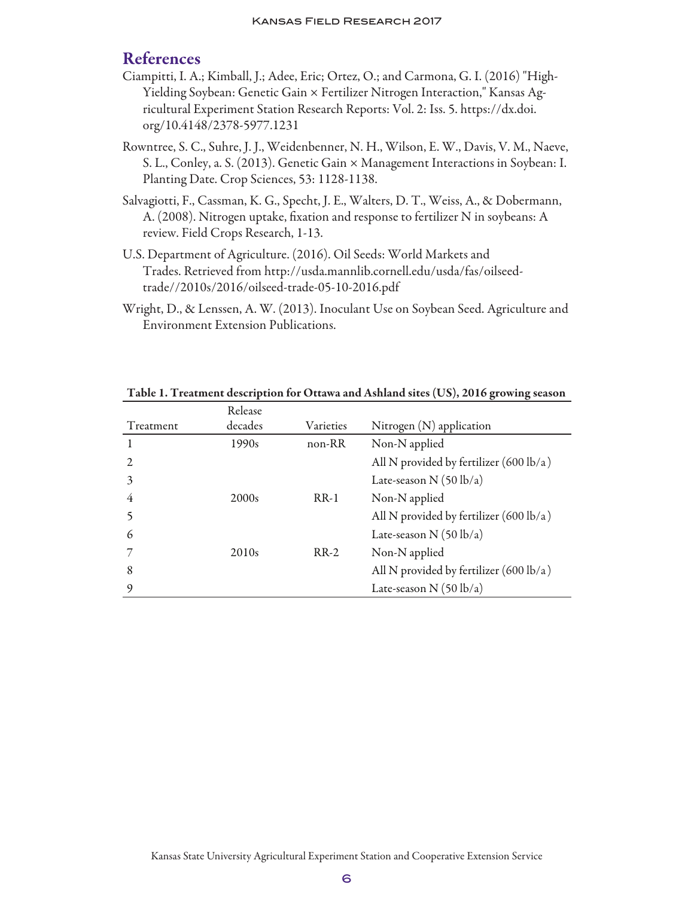## References

- Ciampitti, I. A.; Kimball, J.; Adee, Eric; Ortez, O.; and Carmona, G. I. (2016) "High-Yielding Soybean: Genetic Gain × Fertilizer Nitrogen Interaction," Kansas Agricultural Experiment Station Research Reports: Vol. 2: Iss. 5. https://dx.doi. org/10.4148/2378-5977.1231
- Rowntree, S. C., Suhre, J. J., Weidenbenner, N. H., Wilson, E. W., Davis, V. M., Naeve, S. L., Conley, a. S. (2013). Genetic Gain × Management Interactions in Soybean: I. Planting Date. Crop Sciences, 53: 1128-1138.
- Salvagiotti, F., Cassman, K. G., Specht, J. E., Walters, D. T., Weiss, A., & Dobermann, A. (2008). Nitrogen uptake, fixation and response to fertilizer N in soybeans: A review. Field Crops Research, 1-13.
- U.S. Department of Agriculture. (2016). Oil Seeds: World Markets and Trades. Retrieved from http://usda.mannlib.cornell.edu/usda/fas/oilseedtrade//2010s/2016/oilseed-trade-05-10-2016.pdf
- Wright, D., & Lenssen, A. W. (2013). Inoculant Use on Soybean Seed. Agriculture and Environment Extension Publications.

|           | Release           |           |                                                   |
|-----------|-------------------|-----------|---------------------------------------------------|
| Treatment | decades           | Varieties | Nitrogen $(N)$ application                        |
|           | 1990s             | non-RR    | Non-N applied                                     |
|           |                   |           | All N provided by fertilizer $(600 \text{ lb/a})$ |
| 3         |                   |           | Late-season N $(50 \text{ lb/a})$                 |
| 4         | 2000s             | $RR-1$    | Non-N applied                                     |
|           |                   |           | All N provided by fertilizer $(600 \text{ lb/a})$ |
| 6         |                   |           | Late-season N $(50 \text{ lb/a})$                 |
|           | 2010 <sub>s</sub> | $RR-2$    | Non-N applied                                     |
| 8         |                   |           | All N provided by fertilizer $(600 \text{ lb/a})$ |
| 9         |                   |           | Late-season N $(50 \text{ lb/a})$                 |

Table 1. Treatment description for Ottawa and Ashland sites (US), 2016 growing season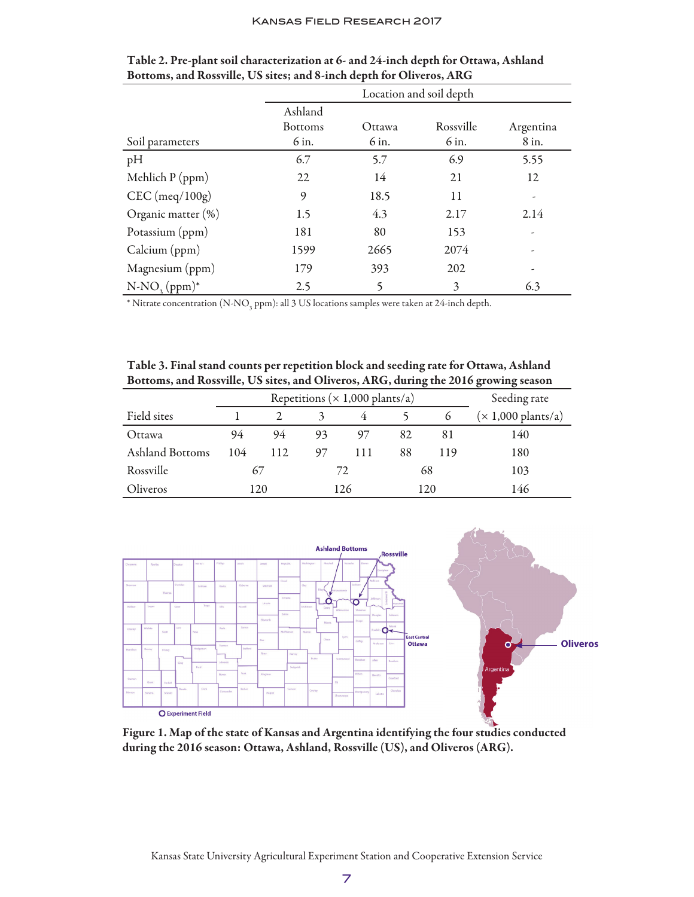|                       | Location and soil depth |        |           |           |  |  |
|-----------------------|-------------------------|--------|-----------|-----------|--|--|
|                       | Ashland                 |        |           |           |  |  |
|                       | <b>Bottoms</b>          | Ottawa | Rossville | Argentina |  |  |
| Soil parameters       | 6 in.                   | 6 in.  | 6 in.     | 8 in.     |  |  |
| pH                    | 6.7                     | 5.7    | 6.9       | 5.55      |  |  |
| Mehlich $P$ (ppm)     | 22                      | 14     | 21        | 12        |  |  |
| $CEC$ (meq/100g)      | 9                       | 18.5   | 11        |           |  |  |
| Organic matter $(\%)$ | 1.5                     | 4.3    | 2.17      | 2.14      |  |  |
| Potassium (ppm)       | 181                     | 80     | 153       |           |  |  |
| Calcium (ppm)         | 1599                    | 2665   | 2074      |           |  |  |
| Magnesium (ppm)       | 179                     | 393    | 202       |           |  |  |
| $N-NO_3(ppm)^*$       | 2.5                     | 5      | 3         | 6.3       |  |  |

| Table 2. Pre-plant soil characterization at 6- and 24-inch depth for Ottawa, Ashland |
|--------------------------------------------------------------------------------------|
| Bottoms, and Rossville, US sites; and 8-inch depth for Oliveros, ARG                 |

 $^*$  Nitrate concentration (N-NO<sub>3</sub> ppm): all 3 US locations samples were taken at 24-inch depth.

Table 3. Final stand counts per repetition block and seeding rate for Ottawa, Ashland Bottoms, and Rossville, US sites, and Oliveros, ARG, during the 2016 growing season

|                 | Repetitions ( $\times$ 1,000 plants/a) |     |     |     |     |          | Seeding rate                 |
|-----------------|----------------------------------------|-----|-----|-----|-----|----------|------------------------------|
| Field sites     |                                        |     |     | 4   |     | $\sigma$ | $(x 1,000 \text{ plants/a})$ |
| Ottawa          | 94                                     | 94  | 93  | 97  | 82  | 81       | 140                          |
| Ashland Bottoms | 104                                    | 112 | 97  | 111 | 88  | 119      | 180                          |
| Rossville       | 67                                     |     | 72  |     | 68  |          | 103                          |
| Oliveros        | 120                                    |     | 126 |     | 120 |          | 146                          |



Figure 1. Map of the state of Kansas and Argentina identifying the four studies conducted during the 2016 season: Ottawa, Ashland, Rossville (US), and Oliveros (ARG).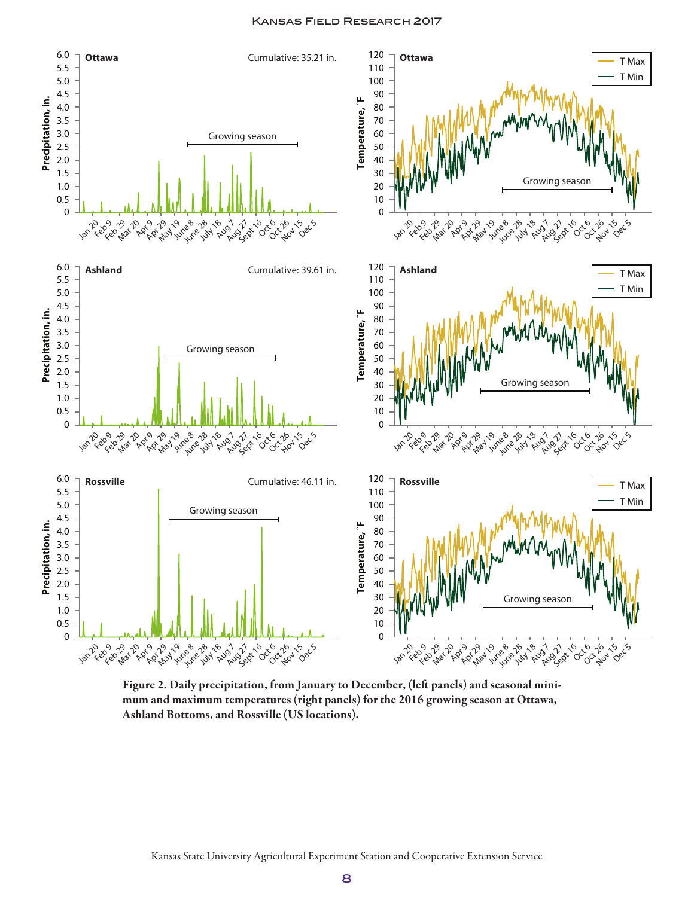

Figure 2. Daily precipitation, from January to December, (left panels) and seasonal minimum and maximum temperatures (right panels) for the 2016 growing season at Ottawa, Ashland Bottoms, and Rossville (US locations).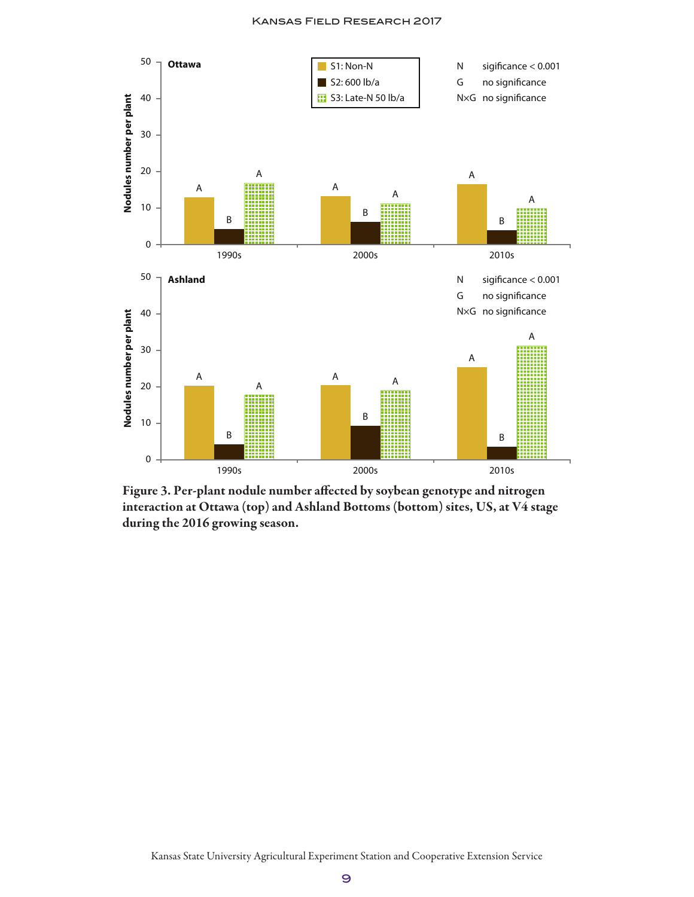

Figure 3. Per-plant nodule number affected by soybean genotype and nitrogen interaction at Ottawa (top) and Ashland Bottoms (bottom) sites, US, at V4 stage during the 2016 growing season.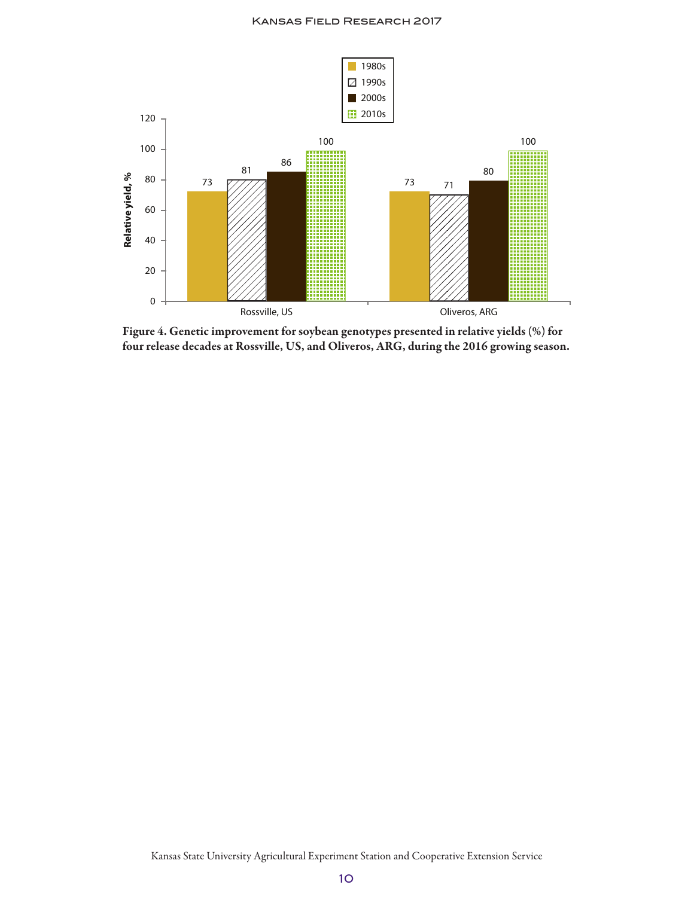

Figure 4. Genetic improvement for soybean genotypes presented in relative yields (%) for four release decades at Rossville, US, and Oliveros, ARG, during the 2016 growing season.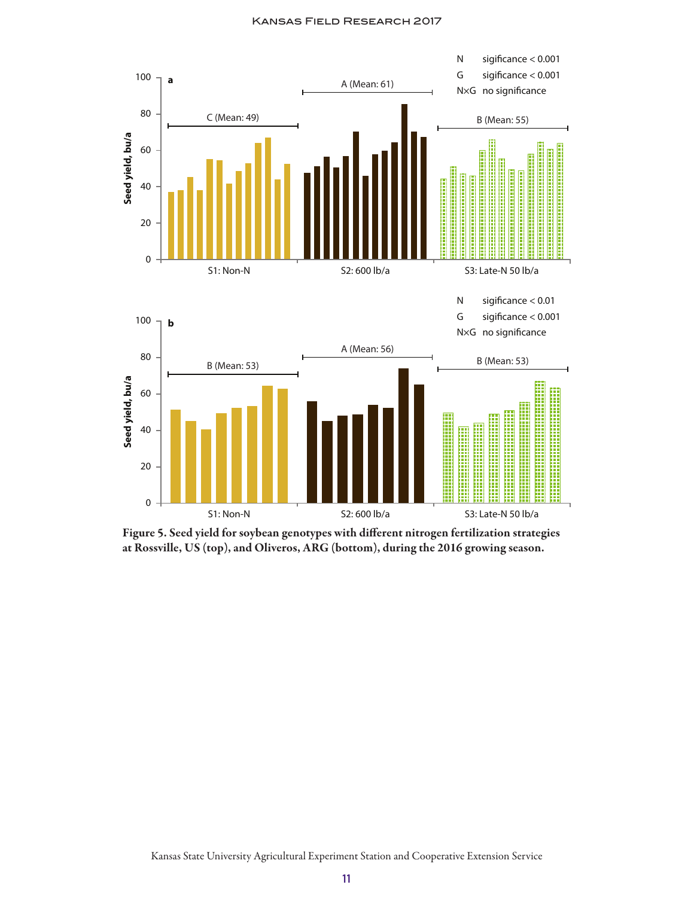

Figure 5. Seed yield for soybean genotypes with different nitrogen fertilization strategies at Rossville, US (top), and Oliveros, ARG (bottom), during the 2016 growing season.